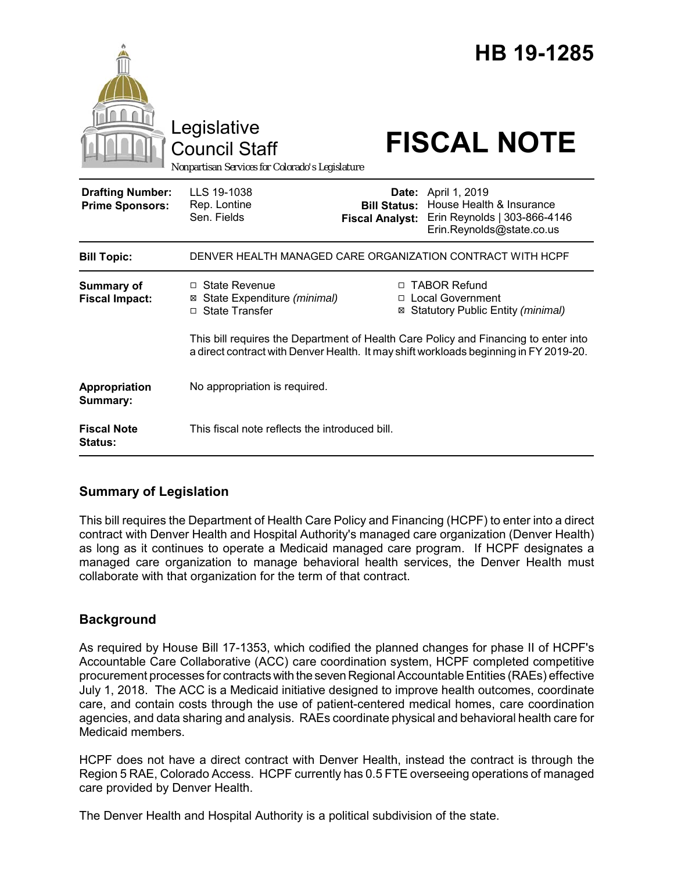|                                                   | Legislative<br><b>Council Staff</b><br>Nonpartisan Services for Colorado's Legislature                                                                                       |                        | HB 19-1285<br><b>FISCAL NOTE</b>                                                                                                        |
|---------------------------------------------------|------------------------------------------------------------------------------------------------------------------------------------------------------------------------------|------------------------|-----------------------------------------------------------------------------------------------------------------------------------------|
| <b>Drafting Number:</b><br><b>Prime Sponsors:</b> | LLS 19-1038<br>Rep. Lontine<br>Sen. Fields                                                                                                                                   | <b>Fiscal Analyst:</b> | <b>Date:</b> April 1, 2019<br><b>Bill Status:</b> House Health & Insurance<br>Erin Reynolds   303-866-4146<br>Erin.Reynolds@state.co.us |
| <b>Bill Topic:</b>                                | DENVER HEALTH MANAGED CARE ORGANIZATION CONTRACT WITH HCPF                                                                                                                   |                        |                                                                                                                                         |
| Summary of<br><b>Fiscal Impact:</b>               | $\Box$ State Revenue<br>⊠ State Expenditure (minimal)<br>□ State Transfer                                                                                                    |                        | □ TABOR Refund<br>□ Local Government<br>⊠ Statutory Public Entity (minimal)                                                             |
|                                                   | This bill requires the Department of Health Care Policy and Financing to enter into<br>a direct contract with Denver Health. It may shift workloads beginning in FY 2019-20. |                        |                                                                                                                                         |
| Appropriation<br>Summary:                         | No appropriation is required.                                                                                                                                                |                        |                                                                                                                                         |
| <b>Fiscal Note</b><br><b>Status:</b>              | This fiscal note reflects the introduced bill.                                                                                                                               |                        |                                                                                                                                         |

## **Summary of Legislation**

This bill requires the Department of Health Care Policy and Financing (HCPF) to enter into a direct contract with Denver Health and Hospital Authority's managed care organization (Denver Health) as long as it continues to operate a Medicaid managed care program. If HCPF designates a managed care organization to manage behavioral health services, the Denver Health must collaborate with that organization for the term of that contract.

# **Background**

As required by House Bill 17-1353, which codified the planned changes for phase II of HCPF's Accountable Care Collaborative (ACC) care coordination system, HCPF completed competitive procurement processes for contracts with the seven Regional Accountable Entities (RAEs) effective July 1, 2018. The ACC is a Medicaid initiative designed to improve health outcomes, coordinate care, and contain costs through the use of patient-centered medical homes, care coordination agencies, and data sharing and analysis. RAEs coordinate physical and behavioral health care for Medicaid members.

HCPF does not have a direct contract with Denver Health, instead the contract is through the Region 5 RAE, Colorado Access. HCPF currently has 0.5 FTE overseeing operations of managed care provided by Denver Health.

The Denver Health and Hospital Authority is a political subdivision of the state.